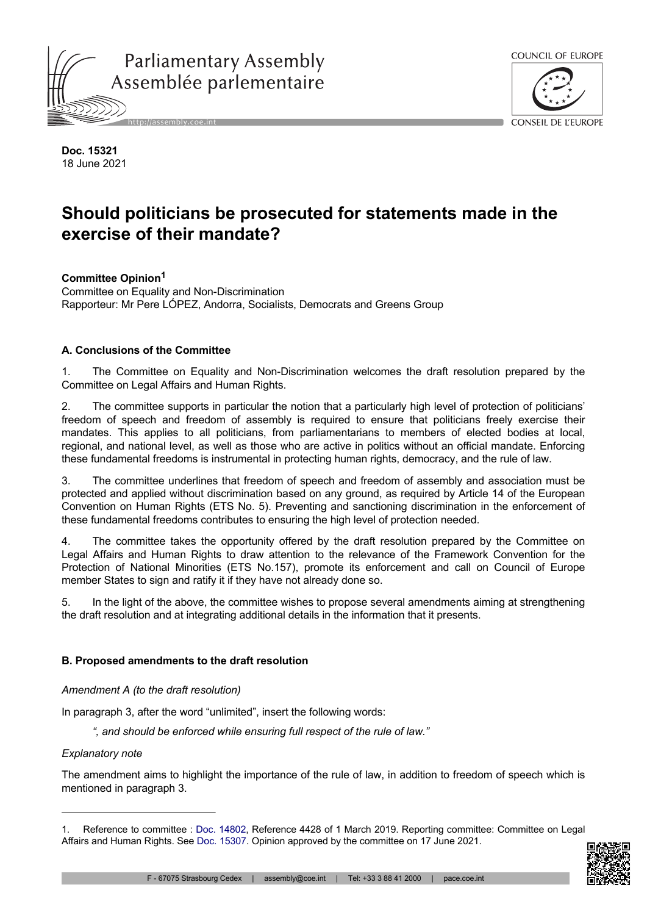



**Doc. 15321** 18 June 2021

# **Should politicians be prosecuted for statements made in the exercise of their mandate?**

**Committee Opinion<sup>1</sup>** Committee on Equality and Non-Discrimination

Rapporteur: Mr Pere LÓPEZ, Andorra, Socialists, Democrats and Greens Group

# **A. Conclusions of the Committee**

1. The Committee on Equality and Non-Discrimination welcomes the draft resolution prepared by the Committee on Legal Affairs and Human Rights.

2. The committee supports in particular the notion that a particularly high level of protection of politicians' freedom of speech and freedom of assembly is required to ensure that politicians freely exercise their mandates. This applies to all politicians, from parliamentarians to members of elected bodies at local, regional, and national level, as well as those who are active in politics without an official mandate. Enforcing these fundamental freedoms is instrumental in protecting human rights, democracy, and the rule of law.

3. The committee underlines that freedom of speech and freedom of assembly and association must be protected and applied without discrimination based on any ground, as required by Article 14 of the European Convention on Human Rights (ETS No. 5). Preventing and sanctioning discrimination in the enforcement of these fundamental freedoms contributes to ensuring the high level of protection needed.

4. The committee takes the opportunity offered by the draft resolution prepared by the Committee on Legal Affairs and Human Rights to draw attention to the relevance of the Framework Convention for the Protection of National Minorities (ETS No.157), promote its enforcement and call on Council of Europe member States to sign and ratify it if they have not already done so.

5. In the light of the above, the committee wishes to propose several amendments aiming at strengthening the draft resolution and at integrating additional details in the information that it presents.

# **B. Proposed amendments to the draft resolution**

# *Amendment A (to the draft resolution)*

In paragraph 3, after the word "unlimited", insert the following words:

*", and should be enforced while ensuring full respect of the rule of law."*

## *Explanatory note*

The amendment aims to highlight the importance of the rule of law, in addition to freedom of speech which is mentioned in paragraph 3.

<sup>1.</sup> Reference to committee : Doc. [14802](https://pace.coe.int/en/files/25279), Reference 4428 of 1 March 2019. Reporting committee: Committee on Legal Affairs and Human Rights. See [Doc. 15307.](https://pace.coe.int/en/files/29262) Opinion approved by the committee on 17 June 2021.

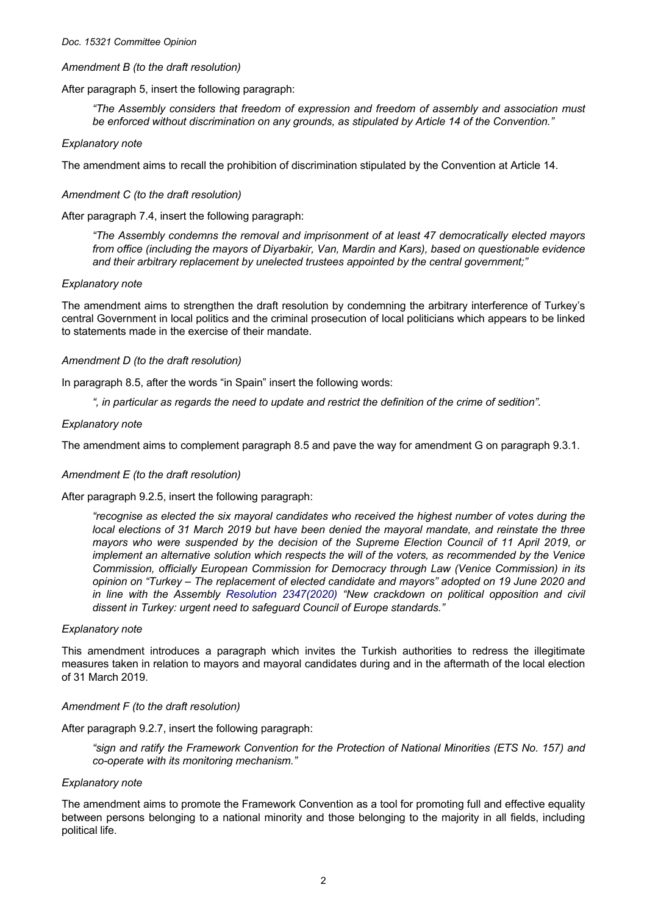#### *Doc. 15321 Committee Opinion*

## *Amendment B (to the draft resolution)*

After paragraph 5, insert the following paragraph:

*"The Assembly considers that freedom of expression and freedom of assembly and association must be enforced without discrimination on any grounds, as stipulated by Article 14 of the Convention."*

## *Explanatory note*

The amendment aims to recall the prohibition of discrimination stipulated by the Convention at Article 14.

## *Amendment C (to the draft resolution)*

After paragraph 7.4, insert the following paragraph:

*"The Assembly condemns the removal and imprisonment of at least 47 democratically elected mayors from office (including the mayors of Diyarbakir, Van, Mardin and Kars), based on questionable evidence and their arbitrary replacement by unelected trustees appointed by the central government;"*

### *Explanatory note*

The amendment aims to strengthen the draft resolution by condemning the arbitrary interference of Turkey's central Government in local politics and the criminal prosecution of local politicians which appears to be linked to statements made in the exercise of their mandate.

## *Amendment D (to the draft resolution)*

In paragraph 8.5, after the words "in Spain" insert the following words:

*", in particular as regards the need to update and restrict the definition of the crime of sedition".*

## *Explanatory note*

The amendment aims to complement paragraph 8.5 and pave the way for amendment G on paragraph 9.3.1.

## *Amendment E (to the draft resolution)*

After paragraph 9.2.5, insert the following paragraph:

*"recognise as elected the six mayoral candidates who received the highest number of votes during the local elections of 31 March 2019 but have been denied the mayoral mandate, and reinstate the three mayors who were suspended by the decision of the Supreme Election Council of 11 April 2019, or implement an alternative solution which respects the will of the voters, as recommended by the Venice Commission, officially European Commission for Democracy through Law (Venice Commission) in its opinion on "Turkey – The replacement of elected candidate and mayors" adopted on 19 June 2020 and in line with the Assembly Resolution [2347\(2020\)](https://pace.coe.int/en/files/28818) "New crackdown on political opposition and civil dissent in Turkey: urgent need to safeguard Council of Europe standards."*

### *Explanatory note*

This amendment introduces a paragraph which invites the Turkish authorities to redress the illegitimate measures taken in relation to mayors and mayoral candidates during and in the aftermath of the local election of 31 March 2019.

## *Amendment F (to the draft resolution)*

After paragraph 9.2.7, insert the following paragraph:

*"sign and ratify the Framework Convention for the Protection of National Minorities (ETS No. 157) and co-operate with its monitoring mechanism."*

### *Explanatory note*

The amendment aims to promote the Framework Convention as a tool for promoting full and effective equality between persons belonging to a national minority and those belonging to the majority in all fields, including political life.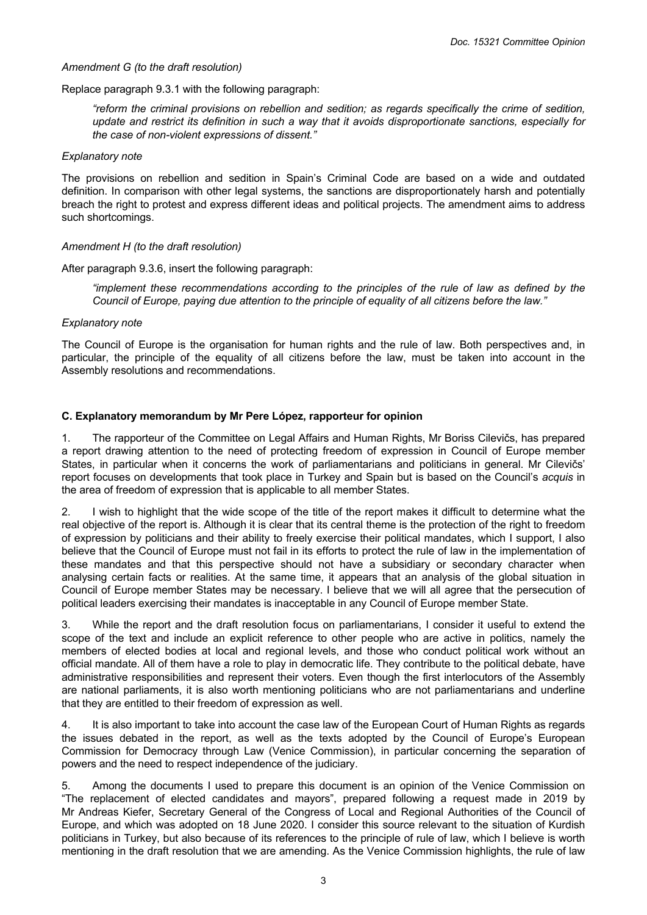## *Amendment G (to the draft resolution)*

Replace paragraph 9.3.1 with the following paragraph:

*"reform the criminal provisions on rebellion and sedition; as regards specifically the crime of sedition, update and restrict its definition in such a way that it avoids disproportionate sanctions, especially for the case of non-violent expressions of dissent."*

#### *Explanatory note*

The provisions on rebellion and sedition in Spain's Criminal Code are based on a wide and outdated definition. In comparison with other legal systems, the sanctions are disproportionately harsh and potentially breach the right to protest and express different ideas and political projects. The amendment aims to address such shortcomings.

### *Amendment H (to the draft resolution)*

After paragraph 9.3.6, insert the following paragraph:

*"implement these recommendations according to the principles of the rule of law as defined by the Council of Europe, paying due attention to the principle of equality of all citizens before the law."*

### *Explanatory note*

The Council of Europe is the organisation for human rights and the rule of law. Both perspectives and, in particular, the principle of the equality of all citizens before the law, must be taken into account in the Assembly resolutions and recommendations.

## **C. Explanatory memorandum by Mr Pere López, rapporteur for opinion**

1. The rapporteur of the Committee on Legal Affairs and Human Rights, Mr Boriss Cilevičs, has prepared a report drawing attention to the need of protecting freedom of expression in Council of Europe member States, in particular when it concerns the work of parliamentarians and politicians in general. Mr Cilevičs' report focuses on developments that took place in Turkey and Spain but is based on the Council's *acquis* in the area of freedom of expression that is applicable to all member States.

2. I wish to highlight that the wide scope of the title of the report makes it difficult to determine what the real objective of the report is. Although it is clear that its central theme is the protection of the right to freedom of expression by politicians and their ability to freely exercise their political mandates, which I support, I also believe that the Council of Europe must not fail in its efforts to protect the rule of law in the implementation of these mandates and that this perspective should not have a subsidiary or secondary character when analysing certain facts or realities. At the same time, it appears that an analysis of the global situation in Council of Europe member States may be necessary. I believe that we will all agree that the persecution of political leaders exercising their mandates is inacceptable in any Council of Europe member State.

While the report and the draft resolution focus on parliamentarians. I consider it useful to extend the scope of the text and include an explicit reference to other people who are active in politics, namely the members of elected bodies at local and regional levels, and those who conduct political work without an official mandate. All of them have a role to play in democratic life. They contribute to the political debate, have administrative responsibilities and represent their voters. Even though the first interlocutors of the Assembly are national parliaments, it is also worth mentioning politicians who are not parliamentarians and underline that they are entitled to their freedom of expression as well.

4. It is also important to take into account the case law of the European Court of Human Rights as regards the issues debated in the report, as well as the texts adopted by the Council of Europe's European Commission for Democracy through Law (Venice Commission), in particular concerning the separation of powers and the need to respect independence of the judiciary.

5. Among the documents I used to prepare this document is an opinion of the Venice Commission on "The replacement of elected candidates and mayors", prepared following a request made in 2019 by Mr Andreas Kiefer, Secretary General of the Congress of Local and Regional Authorities of the Council of Europe, and which was adopted on 18 June 2020. I consider this source relevant to the situation of Kurdish politicians in Turkey, but also because of its references to the principle of rule of law, which I believe is worth mentioning in the draft resolution that we are amending. As the Venice Commission highlights, the rule of law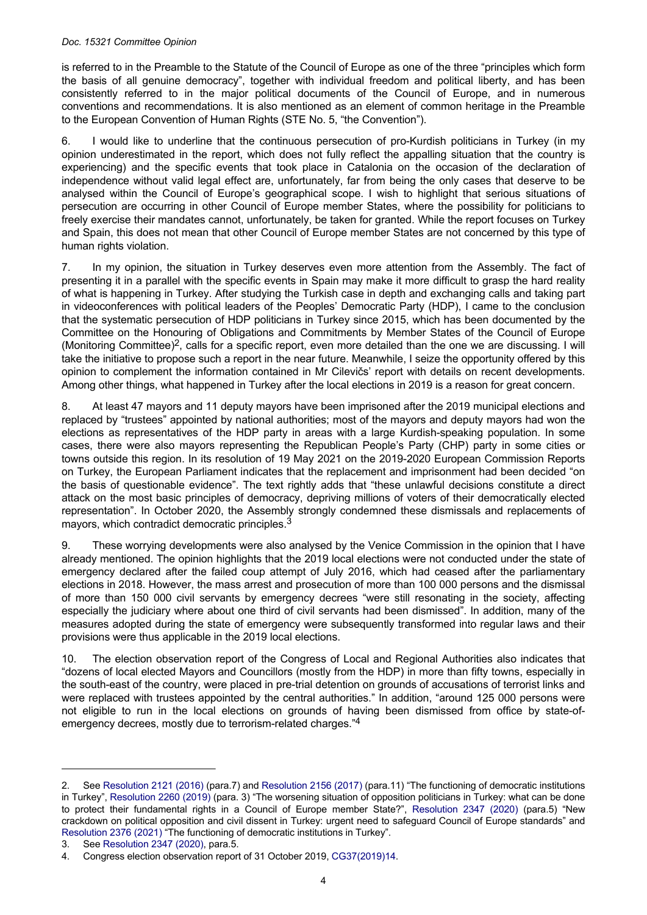#### *Doc. 15321 Committee Opinion*

is referred to in the Preamble to the Statute of the Council of Europe as one of the three "principles which form the basis of all genuine democracy", together with individual freedom and political liberty, and has been consistently referred to in the major political documents of the Council of Europe, and in numerous conventions and recommendations. It is also mentioned as an element of common heritage in the Preamble to the European Convention of Human Rights (STE No. 5, "the Convention").

6. I would like to underline that the continuous persecution of pro-Kurdish politicians in Turkey (in my opinion underestimated in the report, which does not fully reflect the appalling situation that the country is experiencing) and the specific events that took place in Catalonia on the occasion of the declaration of independence without valid legal effect are, unfortunately, far from being the only cases that deserve to be analysed within the Council of Europe's geographical scope. I wish to highlight that serious situations of persecution are occurring in other Council of Europe member States, where the possibility for politicians to freely exercise their mandates cannot, unfortunately, be taken for granted. While the report focuses on Turkey and Spain, this does not mean that other Council of Europe member States are not concerned by this type of human rights violation.

7. In my opinion, the situation in Turkey deserves even more attention from the Assembly. The fact of presenting it in a parallel with the specific events in Spain may make it more difficult to grasp the hard reality of what is happening in Turkey. After studying the Turkish case in depth and exchanging calls and taking part in videoconferences with political leaders of the Peoples' Democratic Party (HDP), I came to the conclusion that the systematic persecution of HDP politicians in Turkey since 2015, which has been documented by the Committee on the Honouring of Obligations and Commitments by Member States of the Council of Europe (Monitoring Committee)<sup>2</sup>, calls for a specific report, even more detailed than the one we are discussing. I will take the initiative to propose such a report in the near future. Meanwhile, I seize the opportunity offered by this opinion to complement the information contained in Mr Cilevičs' report with details on recent developments. Among other things, what happened in Turkey after the local elections in 2019 is a reason for great concern.

8. At least 47 mayors and 11 deputy mayors have been imprisoned after the 2019 municipal elections and replaced by "trustees" appointed by national authorities; most of the mayors and deputy mayors had won the elections as representatives of the HDP party in areas with a large Kurdish-speaking population. In some cases, there were also mayors representing the Republican People's Party (CHP) party in some cities or towns outside this region. In its resolution of 19 May 2021 on the 2019-2020 European Commission Reports on Turkey, the European Parliament indicates that the replacement and imprisonment had been decided "on the basis of questionable evidence". The text rightly adds that "these unlawful decisions constitute a direct attack on the most basic principles of democracy, depriving millions of voters of their democratically elected representation". In October 2020, the Assembly strongly condemned these dismissals and replacements of mayors, which contradict democratic principles.<sup>3</sup>

9. These worrying developments were also analysed by the Venice Commission in the opinion that I have already mentioned. The opinion highlights that the 2019 local elections were not conducted under the state of emergency declared after the failed coup attempt of July 2016, which had ceased after the parliamentary elections in 2018. However, the mass arrest and prosecution of more than 100 000 persons and the dismissal of more than 150 000 civil servants by emergency decrees "were still resonating in the society, affecting especially the judiciary where about one third of civil servants had been dismissed". In addition, many of the measures adopted during the state of emergency were subsequently transformed into regular laws and their provisions were thus applicable in the 2019 local elections.

10. The election observation report of the Congress of Local and Regional Authorities also indicates that "dozens of local elected Mayors and Councillors (mostly from the HDP) in more than fifty towns, especially in the south-east of the country, were placed in pre-trial detention on grounds of accusations of terrorist links and were replaced with trustees appointed by the central authorities." In addition, "around 125 000 persons were not eligible to run in the local elections on grounds of having been dismissed from office by state-ofemergency decrees, mostly due to terrorism-related charges."<sup>4</sup>

<sup>2.</sup> See [Resolution 2121 \(2016\)](https://pace.coe.int/en/files/22957) (para.7) and [Resolution 2156 \(2017\)](https://pace.coe.int/en/files/23665) (para.11) "The functioning of democratic institutions in Turkey", [Resolution 2260 \(2019\)](https://pace.coe.int/en/files/25425) (para. 3) "The worsening situation of opposition politicians in Turkey: what can be done to protect their fundamental rights in a Council of Europe member State?", [Resolution](https://pace.coe.int/en/files/28818) 2347 (2020) (para.5) "New crackdown on political opposition and civil dissent in Turkey: urgent need to safeguard Council of Europe standards" and [Resolution 2376 \(2021\)](https://pace.coe.int/en/files/29189) "The functioning of democratic institutions in Turkey".

<sup>3.</sup> See [Resolution 2347 \(2020\)](https://pace.coe.int/en/files/28818), para.5.

<sup>4.</sup> Congress election observation report of 31 October 2019, [CG37\(2019\)14](https://rm.coe.int/CoERMPublicCommonSearchServices/DisplayDCTMContent?documentId=0900001680981fcf).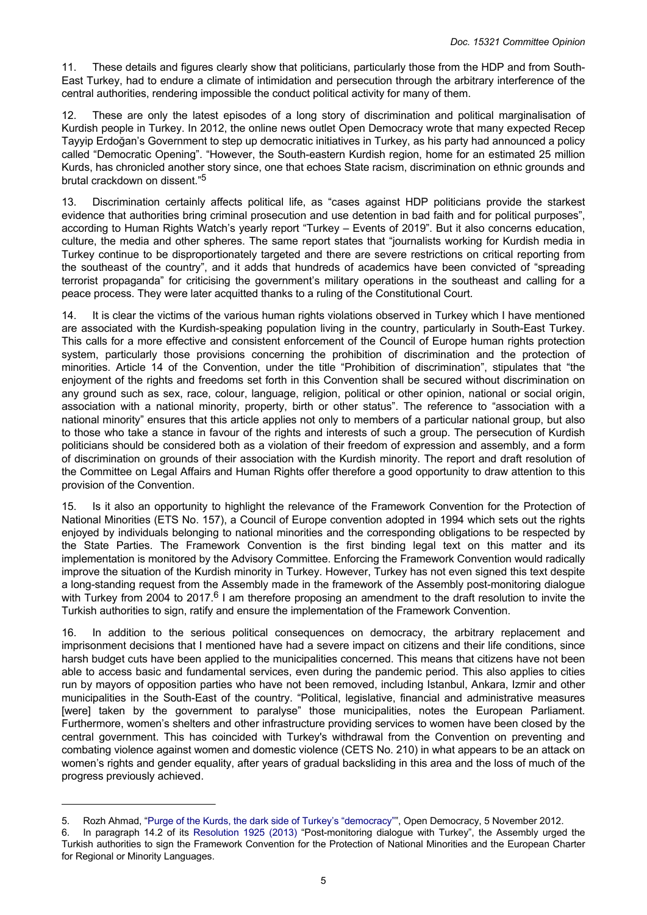11. These details and figures clearly show that politicians, particularly those from the HDP and from South-East Turkey, had to endure a climate of intimidation and persecution through the arbitrary interference of the central authorities, rendering impossible the conduct political activity for many of them.

12. These are only the latest episodes of a long story of discrimination and political marginalisation of Kurdish people in Turkey. In 2012, the online news outlet Open Democracy wrote that many expected Recep Tayyip Erdoğan's Government to step up democratic initiatives in Turkey, as his party had announced a policy called "Democratic Opening". "However, the South-eastern Kurdish region, home for an estimated 25 million Kurds, has chronicled another story since, one that echoes State racism, discrimination on ethnic grounds and brutal crackdown on dissent."<sup>5</sup>

13. Discrimination certainly affects political life, as "cases against HDP politicians provide the starkest evidence that authorities bring criminal prosecution and use detention in bad faith and for political purposes", according to Human Rights Watch's yearly report "Turkey – Events of 2019". But it also concerns education, culture, the media and other spheres. The same report states that "journalists working for Kurdish media in Turkey continue to be disproportionately targeted and there are severe restrictions on critical reporting from the southeast of the country", and it adds that hundreds of academics have been convicted of "spreading terrorist propaganda" for criticising the government's military operations in the southeast and calling for a peace process. They were later acquitted thanks to a ruling of the Constitutional Court.

14. It is clear the victims of the various human rights violations observed in Turkey which I have mentioned are associated with the Kurdish-speaking population living in the country, particularly in South-East Turkey. This calls for a more effective and consistent enforcement of the Council of Europe human rights protection system, particularly those provisions concerning the prohibition of discrimination and the protection of minorities. Article 14 of the Convention, under the title "Prohibition of discrimination", stipulates that "the enjoyment of the rights and freedoms set forth in this Convention shall be secured without discrimination on any ground such as sex, race, colour, language, religion, political or other opinion, national or social origin, association with a national minority, property, birth or other status". The reference to "association with a national minority" ensures that this article applies not only to members of a particular national group, but also to those who take a stance in favour of the rights and interests of such a group. The persecution of Kurdish politicians should be considered both as a violation of their freedom of expression and assembly, and a form of discrimination on grounds of their association with the Kurdish minority. The report and draft resolution of the Committee on Legal Affairs and Human Rights offer therefore a good opportunity to draw attention to this provision of the Convention.

15. Is it also an opportunity to highlight the relevance of the Framework Convention for the Protection of National Minorities (ETS No. 157), a Council of Europe convention adopted in 1994 which sets out the rights enjoyed by individuals belonging to national minorities and the corresponding obligations to be respected by the State Parties. The Framework Convention is the first binding legal text on this matter and its implementation is monitored by the Advisory Committee. Enforcing the Framework Convention would radically improve the situation of the Kurdish minority in Turkey. However, Turkey has not even signed this text despite a long-standing request from the Assembly made in the framework of the Assembly post-monitoring dialogue with Turkey from 2004 to 2017.<sup>6</sup> I am therefore proposing an amendment to the draft resolution to invite the Turkish authorities to sign, ratify and ensure the implementation of the Framework Convention.

16. In addition to the serious political consequences on democracy, the arbitrary replacement and imprisonment decisions that I mentioned have had a severe impact on citizens and their life conditions, since harsh budget cuts have been applied to the municipalities concerned. This means that citizens have not been able to access basic and fundamental services, even during the pandemic period. This also applies to cities run by mayors of opposition parties who have not been removed, including Istanbul, Ankara, Izmir and other municipalities in the South-East of the country. "Political, legislative, financial and administrative measures [were] taken by the government to paralyse" those municipalities, notes the European Parliament. Furthermore, women's shelters and other infrastructure providing services to women have been closed by the central government. This has coincided with Turkey's withdrawal from the Convention on preventing and combating violence against women and domestic violence (CETS No. 210) in what appears to be an attack on women's rights and gender equality, after years of gradual backsliding in this area and the loss of much of the progress previously achieved.

<sup>5.</sup> Rozh Ahmad, "[Purge of the Kurds, the dark side of Turkey's "democracy""](https://www.opendemocracy.net/en/purge-of-kurds-dark-side-of-turkish-democracy/), Open Democracy, 5 November 2012.

<sup>6.</sup> In paragraph 14.2 of its [Resolution](https://pace.coe.int/en/files/19668) 1925 (2013) "Post-monitoring dialogue with Turkey", the Assembly urged the Turkish authorities to sign the Framework Convention for the Protection of National Minorities and the European Charter for Regional or Minority Languages.